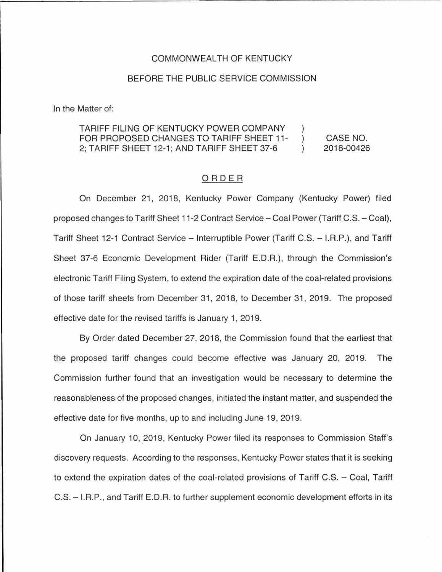### COMMONWEALTH OF KENTUCKY

## BEFORE THE PUBLIC SERVICE COMMISSION

In the Matter of:

#### TARIFF FILING OF KENTUCKY POWER COMPANY CASE NO. FOR PROPOSED CHANGES TO TARIFF SHEET 11 -  $\lambda$ 2; TARIFF SHEET 12-1; AND TARIFF SHEET 37-6 2018-00426  $\lambda$

### ORDER

On December 21, 2018, Kentucky Power Company (Kentucky Power) filed proposed changes to Tariff Sheet 11-2 Contract Service - Coal Power (Tariff C.S. - Coal), Tariff Sheet 12-1 Contract Service – Interruptible Power (Tariff C.S. – I.R.P.), and Tariff Sheet 37-6 Economic Development Rider (Tariff E.D.R.), through the Commission's electronic Tariff Filing System, to extend the expiration date of the coal-related provisions of those tariff sheets from December 31, 2018, to December 31 , 2019. The proposed effective date for the revised tariffs is January 1, 2019.

By Order dated December 27, 2018, the Commission found that the earliest that the proposed tariff changes could become effective was January 20, 2019. The Commission further found that an investigation would be necessary to determine the reasonableness of the proposed changes, initiated the instant matter, and suspended the effective date for five months, up to and including June 19, 2019.

On January 10, 2019, Kentucky Power filed its responses to Commission Staff's discovery requests. According to the responses, Kentucky Power states that it is seeking to extend the expiration dates of the coal-related provisions of Tariff C.S. - Coal, Tariff C.S. - I.R.P., and Tariff E.D.R. to further supplement economic development efforts in its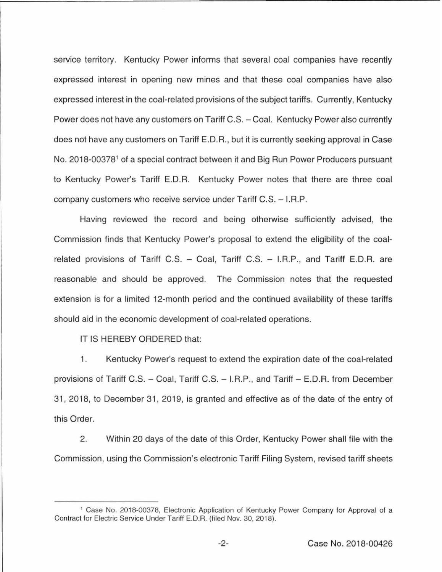service territory. Kentucky Power informs that several coal companies have recently expressed interest in opening new mines and that these coal companies have also expressed interest in the coal-related provisions of the subject tariffs. Currently, Kentucky Power does not have any customers on Tariff C.S. - Coal. Kentucky Power also currently does not have any customers on Tariff E.D.R., but it is currently seeking approval in Case No. 2018-00378<sup>1</sup> of a special contract between it and Big Run Power Producers pursuant to Kentucky Power's Tariff E.D.R. Kentucky Power notes that there are three coal company customers who receive service under Tariff C.S. - I.R.P.

Having reviewed the record and being otherwise sufficiently advised, the Commission finds that Kentucky Power's proposal to extend the eligibility of the coalrelated provisions of Tariff C.S.  $-$  Coal, Tariff C.S.  $-$  I.R.P., and Tariff E.D.R. are reasonable and should be approved. The Commission notes that the requested extension is for a limited 12-month period and the continued availability of these tariffs should aid in the economic development of coal-related operations.

IT IS HEREBY ORDERED that:

1. Kentucky Power's request to extend the expiration date of the coal-related provisions of Tariff C.S. - Coal, Tariff C.S. - I.R.P., and Tariff - E.D.R. from December 31, 2018, to December 31 , 2019, is granted and effective as of the date of the entry of this Order.

2. Within 20 days of the date of this Order, Kentucky Power shall file with the Commission, using the Commission's electronic Tariff Filing System, revised tariff sheets

<sup>1</sup>Case No. 2018-00378, Electronic Application of Kentucky Power Company for Approval of a Contract for Electric Service Under Tariff E.D.R. (filed Nov. 30, 2018).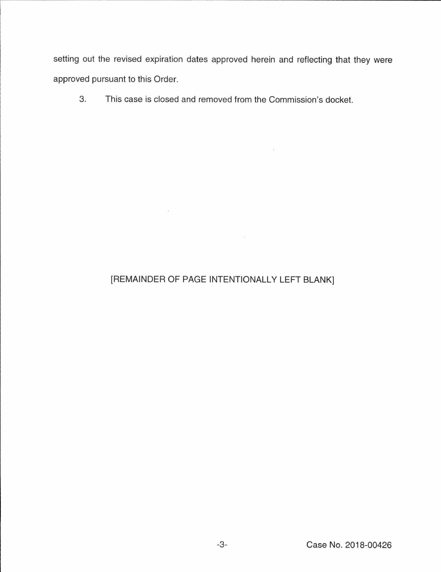setting out the revised expiration dates approved herein and reflecting that they were approved pursuant to this Order.

 $\chi$  .

3. This case is closed and removed from the Commission's docket.

# [REMAINDER OF PAGE INTENTIONALLY LEFT BLANK]

 $\sim 100$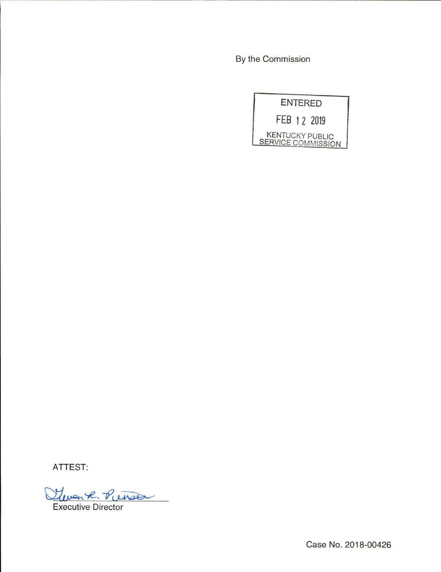By the Commission

|                                                     | <b>ENTERED</b> |
|-----------------------------------------------------|----------------|
|                                                     | FEB 12 2019    |
| <b>KENTUCKY PUBLIC</b><br><b>SERVICE COMMISSION</b> |                |

**ATTEST:** 

Glean 7 **'7f!-** 2. <u>Punse</u>

Executive